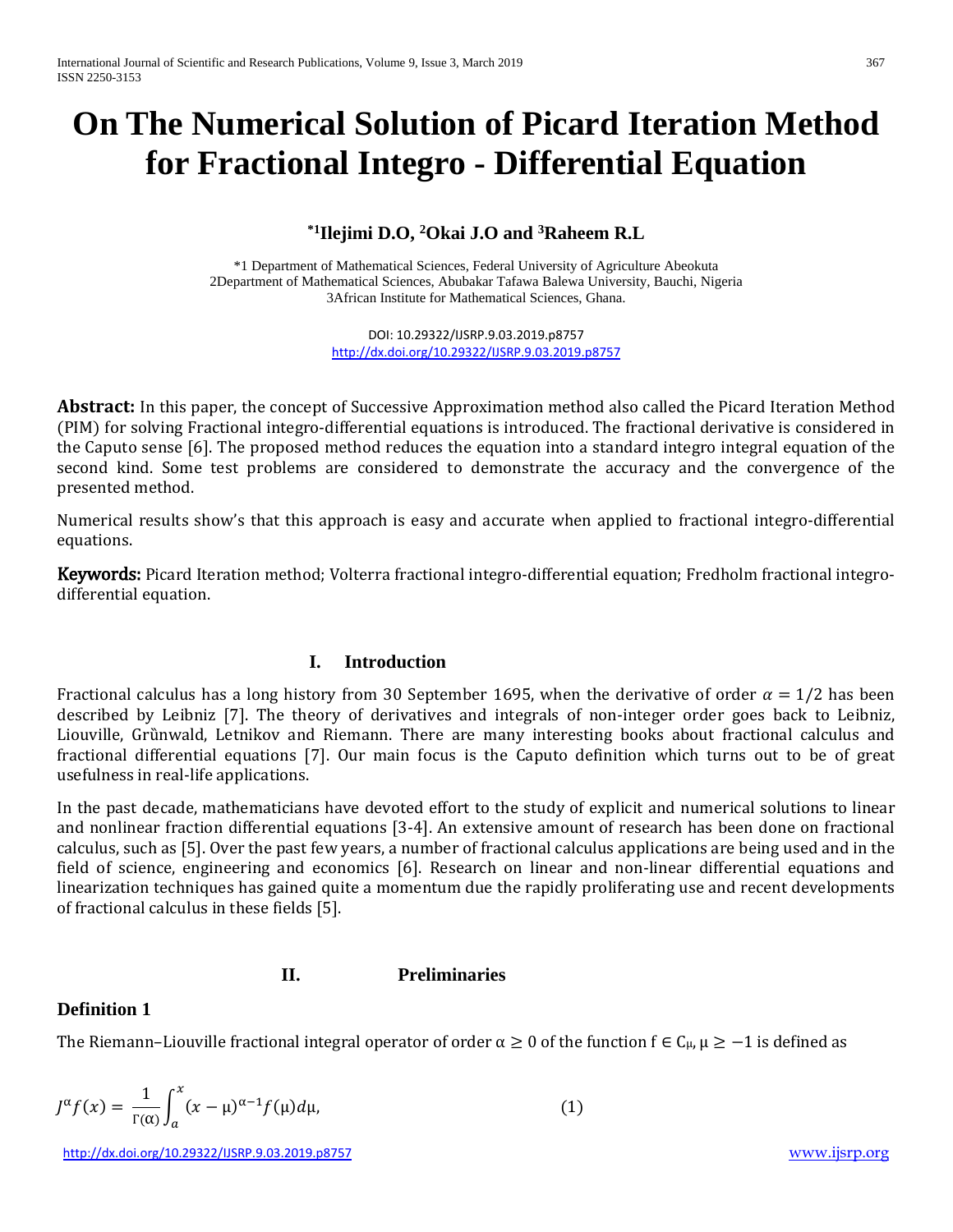# **On The Numerical Solution of Picard Iteration Method for Fractional Integro - Differential Equation**

# **\*1Ilejimi D.O, 2Okai J.O and 3Raheem R.L**

\*1 Department of Mathematical Sciences, Federal University of Agriculture Abeokuta 2Department of Mathematical Sciences, Abubakar Tafawa Balewa University, Bauchi, Nigeria 3African Institute for Mathematical Sciences, Ghana.

> DOI: 10.29322/IJSRP.9.03.2019.p8757 <http://dx.doi.org/10.29322/IJSRP.9.03.2019.p8757>

**Abstract:** In this paper, the concept of Successive Approximation method also called the Picard Iteration Method (PIM) for solving Fractional integro-differential equations is introduced. The fractional derivative is considered in the Caputo sense [6]. The proposed method reduces the equation into a standard integro integral equation of the second kind. Some test problems are considered to demonstrate the accuracy and the convergence of the presented method.

Numerical results show's that this approach is easy and accurate when applied to fractional integro-differential equations.

Keywords: Picard Iteration method; Volterra fractional integro-differential equation; Fredholm fractional integrodifferential equation.

#### **I. Introduction**

Fractional calculus has a long history from 30 September 1695, when the derivative of order  $\alpha = 1/2$  has been described by Leibniz [7]. The theory of derivatives and integrals of non-integer order goes back to Leibniz, Liouville, Grünwald, Letnikov and Riemann. There are many interesting books about fractional calculus and fractional differential equations [7]. Our main focus is the Caputo definition which turns out to be of great usefulness in real-life applications.

In the past decade, mathematicians have devoted effort to the study of explicit and numerical solutions to linear and nonlinear fraction differential equations [3-4]. An extensive amount of research has been done on fractional calculus, such as [5]. Over the past few years, a number of fractional calculus applications are being used and in the field of science, engineering and economics [6]. Research on linear and non-linear differential equations and linearization techniques has gained quite a momentum due the rapidly proliferating use and recent developments of fractional calculus in these fields [5].

#### **II. Preliminaries**

#### **Definition 1**

The Riemann–Liouville fractional integral operator of order  $\alpha \geq 0$  of the function  $f \in C_\mu$ ,  $\mu \geq -1$  is defined as

$$
J^{\alpha}f(x) = \frac{1}{\Gamma(\alpha)} \int_{a}^{x} (x - \mu)^{\alpha - 1} f(\mu) d\mu,
$$
 (1)

<http://dx.doi.org/10.29322/IJSRP.9.03.2019.p8757> [www.ijsrp.org](http://ijsrp.org/)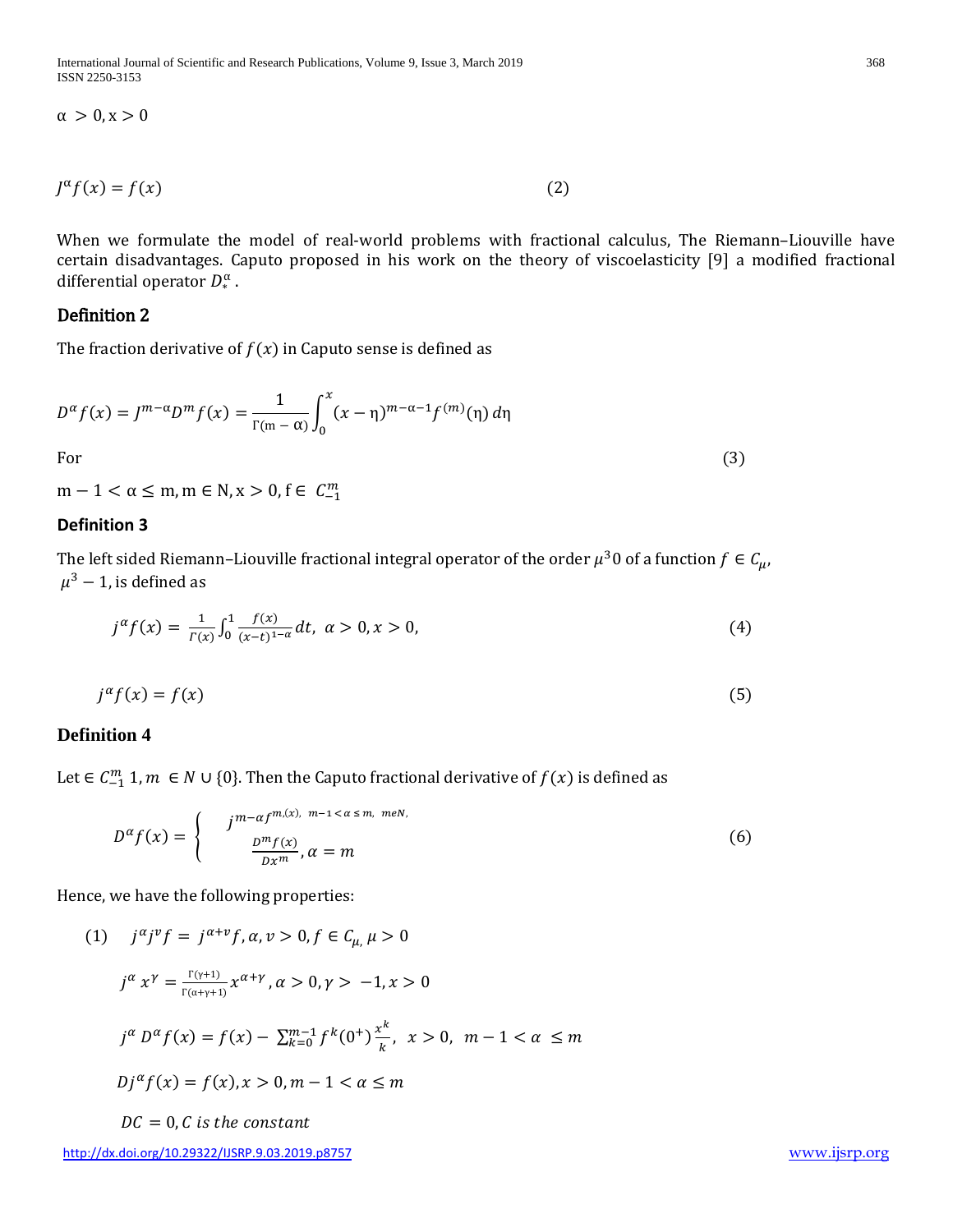$$
\alpha > 0, x > 0
$$
  

$$
J^{\alpha}f(x) = f(x) \tag{2}
$$

When we formulate the model of real-world problems with fractional calculus, The Riemann–Liouville have certain disadvantages. Caputo proposed in his work on the theory of viscoelasticity [9] a modified fractional differential operator  $D_*^{\alpha}$ .

## Definition 2

The fraction derivative of  $f(x)$  in Caputo sense is defined as

$$
D^{\alpha}f(x) = J^{m-\alpha}D^m f(x) = \frac{1}{\Gamma(m-\alpha)} \int_0^x (x-\eta)^{m-\alpha-1} f^{(m)}(\eta) d\eta
$$
  
For

 $m - 1 < \alpha \le m, m \in N, x > 0, f \in C_{-1}^{m}$ 

## **Definition 3**

The left sided Riemann–Liouville fractional integral operator of the order  $\mu^3$ 0 of a function  $f \in C_u$ ,  $\mu^3$  – 1, is defined as

$$
j^{\alpha} f(x) = \frac{1}{\Gamma(x)} \int_0^1 \frac{f(x)}{(x-t)^{1-\alpha}} dt, \ \alpha > 0, x > 0,
$$
 (4)

$$
j^{\alpha}f(x) = f(x) \tag{5}
$$

#### **Definition 4**

Let ∈  $\mathcal{C}_{-1}^m$  1,  $m \in N \cup \{0\}$ . Then the Caputo fractional derivative of  $f(x)$  is defined as

$$
D^{\alpha}f(x) = \begin{cases} j^{m-\alpha}f^{m,(x), m-1 < \alpha \le m, \text{ men,}} \\ \frac{D^m f(x)}{Dx^m}, \alpha = m \end{cases}
$$
 (6)

Hence, we have the following properties:

(1) 
$$
j^{\alpha}j^{\nu}f = j^{\alpha+\nu}f, \alpha, \nu > 0, f \in C_{\mu, \mu} > 0
$$
  
\n $j^{\alpha} x^{\gamma} = \frac{\Gamma(\gamma+1)}{\Gamma(\alpha+\gamma+1)} x^{\alpha+\gamma}, \alpha > 0, \gamma > -1, x > 0$   
\n $j^{\alpha} D^{\alpha}f(x) = f(x) - \sum_{k=0}^{m-1} f^{k}(0^{+}) \frac{x^{k}}{k}, x > 0, m-1 < \alpha \leq m$   
\n $Dj^{\alpha}f(x) = f(x), x > 0, m-1 < \alpha \leq m$ 

 $DC = 0, C$  is the constant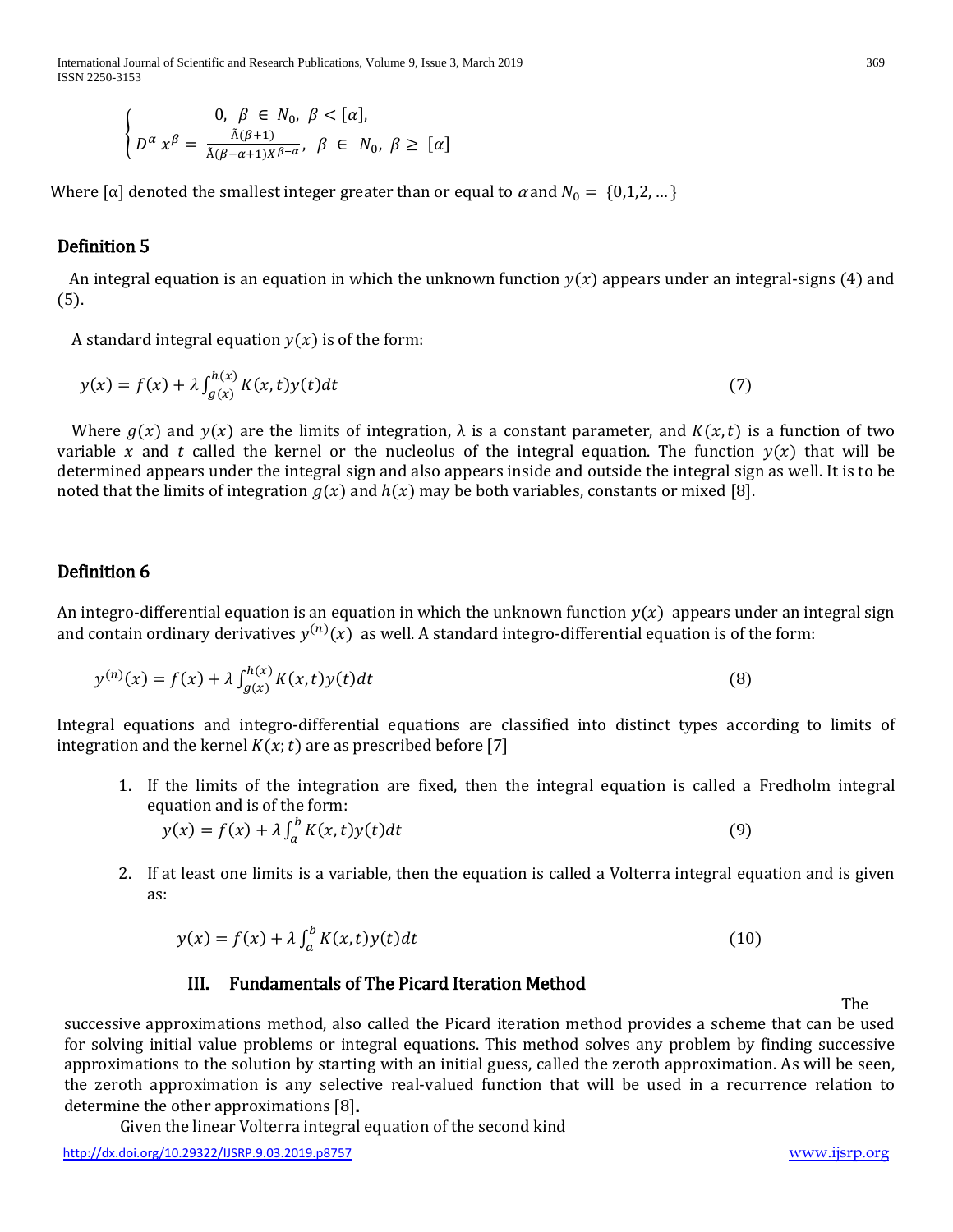International Journal of Scientific and Research Publications, Volume 9, Issue 3, March 2019 369 ISSN 2250-3153

$$
\begin{cases}\n0, & \beta \in N_0, \ \beta < [\alpha], \\
D^{\alpha} x^{\beta} = \frac{\tilde{\Lambda}(\beta + 1)}{\tilde{\Lambda}(\beta - \alpha + 1)X^{\beta - \alpha}}, \ \beta \in N_0, \ \beta \geq [\alpha]\n\end{cases}
$$

Where [ $\alpha$ ] denoted the smallest integer greater than or equal to  $\alpha$  and  $N_0 = \{0,1,2,...\}$ 

#### Definition 5

An integral equation is an equation in which the unknown function  $y(x)$  appears under an integral-signs (4) and (5).

A standard integral equation  $y(x)$  is of the form:

$$
y(x) = f(x) + \lambda \int_{g(x)}^{h(x)} K(x, t) y(t) dt
$$
\n(7)

Where  $g(x)$  and  $y(x)$  are the limits of integration,  $\lambda$  is a constant parameter, and  $K(x, t)$  is a function of two variable x and t called the kernel or the nucleolus of the integral equation. The function  $y(x)$  that will be determined appears under the integral sign and also appears inside and outside the integral sign as well. It is to be noted that the limits of integration  $g(x)$  and  $h(x)$  may be both variables, constants or mixed [8].

## Definition 6

An integro-differential equation is an equation in which the unknown function  $y(x)$  appears under an integral sign and contain ordinary derivatives  $y^{(n)}(x)$  as well. A standard integro-differential equation is of the form:

$$
y^{(n)}(x) = f(x) + \lambda \int_{g(x)}^{h(x)} K(x, t) y(t) dt
$$
\n(8)

Integral equations and integro-differential equations are classified into distinct types according to limits of integration and the kernel  $K(x; t)$  are as prescribed before [7]

1. If the limits of the integration are fixed, then the integral equation is called a Fredholm integral equation and is of the form:

$$
y(x) = f(x) + \lambda \int_{a}^{b} K(x, t)y(t)dt
$$
\n(9)

2. If at least one limits is a variable, then the equation is called a Volterra integral equation and is given as:

$$
y(x) = f(x) + \lambda \int_{a}^{b} K(x, t)y(t)dt
$$
\n(10)

#### III. Fundamentals of The Picard Iteration Method

The state of the contract of the contract of the contract of the contract of the contract of the contract of the contract of the contract of the contract of the contract of the contract of the contract of the contract of t successive approximations method, also called the Picard iteration method provides a scheme that can be used for solving initial value problems or integral equations. This method solves any problem by finding successive approximations to the solution by starting with an initial guess, called the zeroth approximation. As will be seen, the zeroth approximation is any selective real-valued function that will be used in a recurrence relation to determine the other approximations [8].

Given the linear Volterra integral equation of the second kind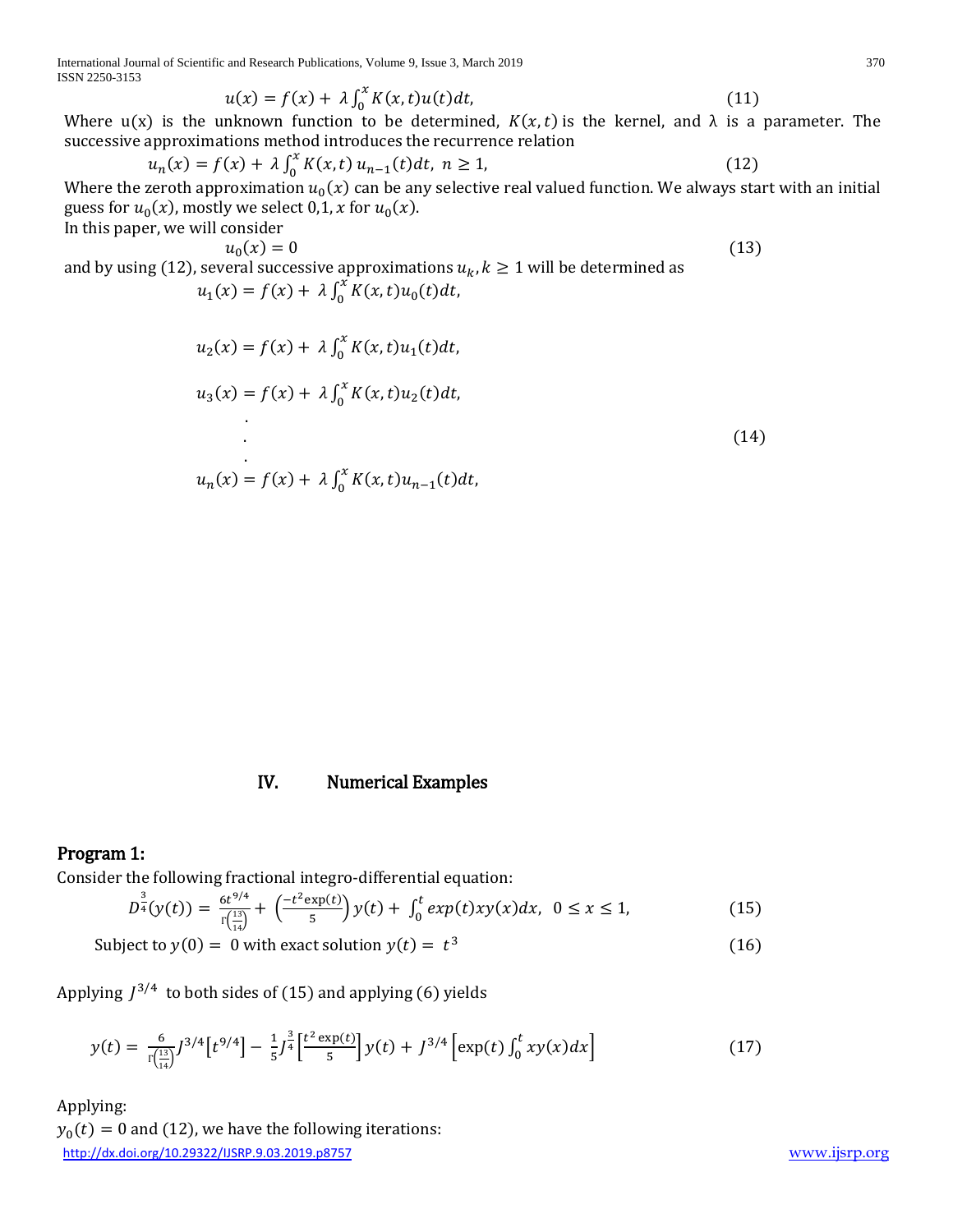International Journal of Scientific and Research Publications, Volume 9, Issue 3, March 2019 370 ISSN 2250-3153

$$
u(x) = f(x) + \lambda \int_0^x K(x, t)u(t)dt, \tag{11}
$$

0 Where  $u(x)$  is the unknown function to be determined,  $K(x, t)$  is the kernel, and  $\lambda$  is a parameter. The successive approximations method introduces the recurrence relation

$$
u_n(x) = f(x) + \lambda \int_0^x K(x, t) u_{n-1}(t) dt, \ n \ge 1,
$$
\n(12)

Where the zeroth approximation  $u_0(x)$  can be any selective real valued function. We always start with an initial guess for  $u_0(x)$ , mostly we select 0,1, x for  $u_0(x)$ . In this paper, we will consider

$$
u_0(x) = 0
$$
 (13)

and by using (12), several successive approximations  $u_k$ ,  $k\geq 1$  will be determined as  $u_1(x) = f(x) + \lambda \int_0^x K(x, t) u_0(t) dt,$ 

$$
u_2(x) = f(x) + \lambda \int_0^x K(x, t)u_1(t)dt,
$$
  
\n
$$
u_3(x) = f(x) + \lambda \int_0^x K(x, t)u_2(t)dt,
$$
  
\n...  
\n
$$
u_n(x) = f(x) + \lambda \int_0^x K(x, t)u_{n-1}(t)dt,
$$
\n(14)

#### IV. Numerical Examples

#### Program 1:

Consider the following fractional integro-differential equation:

$$
D^{\frac{3}{4}}(y(t)) = \frac{6t^{9/4}}{\Gamma(\frac{13}{14})} + \left(\frac{-t^2 \exp(t)}{5}\right) y(t) + \int_0^t exp(t)xy(x)dx, \ 0 \le x \le 1,
$$
 (15)

Subject to 
$$
y(0) = 0
$$
 with exact solution  $y(t) = t^3$  (16)

Applying  $J^{3/4}$  to both sides of (15) and applying (6) yields

$$
y(t) = \frac{6}{\Gamma(\frac{13}{14})} J^{3/4} \left[ t^{9/4} \right] - \frac{1}{5} J^{\frac{3}{4}} \left[ \frac{t^2 \exp(t)}{5} \right] y(t) + J^{3/4} \left[ \exp(t) \int_0^t xy(x) dx \right] \tag{17}
$$

#### Applying:

<http://dx.doi.org/10.29322/IJSRP.9.03.2019.p8757> [www.ijsrp.org](http://ijsrp.org/)  $y_0(t) = 0$  and (12), we have the following iterations: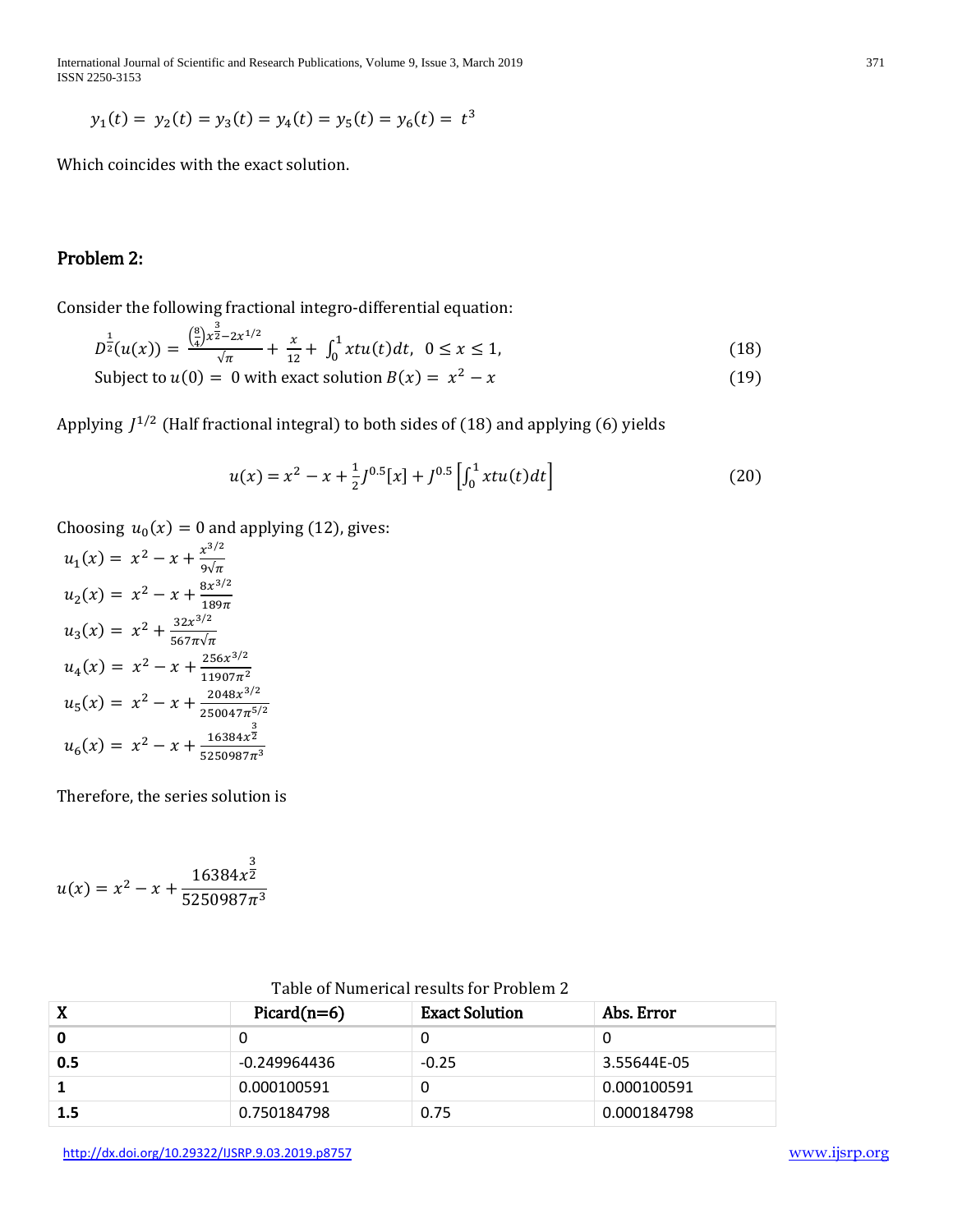International Journal of Scientific and Research Publications, Volume 9, Issue 3, March 2019 371 ISSN 2250-3153

$$
y_1(t) = y_2(t) = y_3(t) = y_4(t) = y_5(t) = y_6(t) = t^3
$$

Which coincides with the exact solution.

# Problem 2:

Consider the following fractional integro-differential equation:  $\overline{3}$ 

$$
D^{\frac{1}{2}}(u(x)) = \frac{\left(\frac{8}{4}\right)x^{\frac{3}{2}-2x^{1/2}}}{\sqrt{\pi}} + \frac{x}{12} + \int_0^1 x t u(t) dt, \ 0 \le x \le 1,
$$
\n(18)

Subject to 
$$
u(0) = 0
$$
 with exact solution  $B(x) = x^2 - x$  (19)

Applying  $J^{1/2}$  (Half fractional integral) to both sides of (18) and applying (6) yields

$$
u(x) = x^2 - x + \frac{1}{2}J^{0.5}[x] + J^{0.5}\left[\int_0^1 xtu(t)dt\right]
$$
 (20)

Choosing  $u_0(x) = 0$  and applying (12), gives:

$$
u_1(x) = x^2 - x + \frac{x^{3/2}}{9\sqrt{\pi}}
$$
  
\n
$$
u_2(x) = x^2 - x + \frac{8x^{3/2}}{189\pi}
$$
  
\n
$$
u_3(x) = x^2 + \frac{32x^{3/2}}{567\pi\sqrt{\pi}}
$$
  
\n
$$
u_4(x) = x^2 - x + \frac{256x^{3/2}}{11907\pi^2}
$$
  
\n
$$
u_5(x) = x^2 - x + \frac{2048x^{3/2}}{250047\pi^{5/2}}
$$
  
\n
$$
u_6(x) = x^2 - x + \frac{16384x^{\frac{3}{2}}}{5250987\pi^3}
$$

Therefore, the series solution is

$$
u(x) = x^2 - x + \frac{16384x^{\frac{3}{2}}}{5250987\pi^3}
$$

| X   | Picard $(n=6)$ | <b>Exact Solution</b> | Abs. Error  |
|-----|----------------|-----------------------|-------------|
| 0   |                |                       |             |
| 0.5 | -0.249964436   | $-0.25$               | 3.55644E-05 |
| 1   | 0.000100591    | O                     | 0.000100591 |
| 1.5 | 0.750184798    | 0.75                  | 0.000184798 |

Table of Numerical results for Problem 2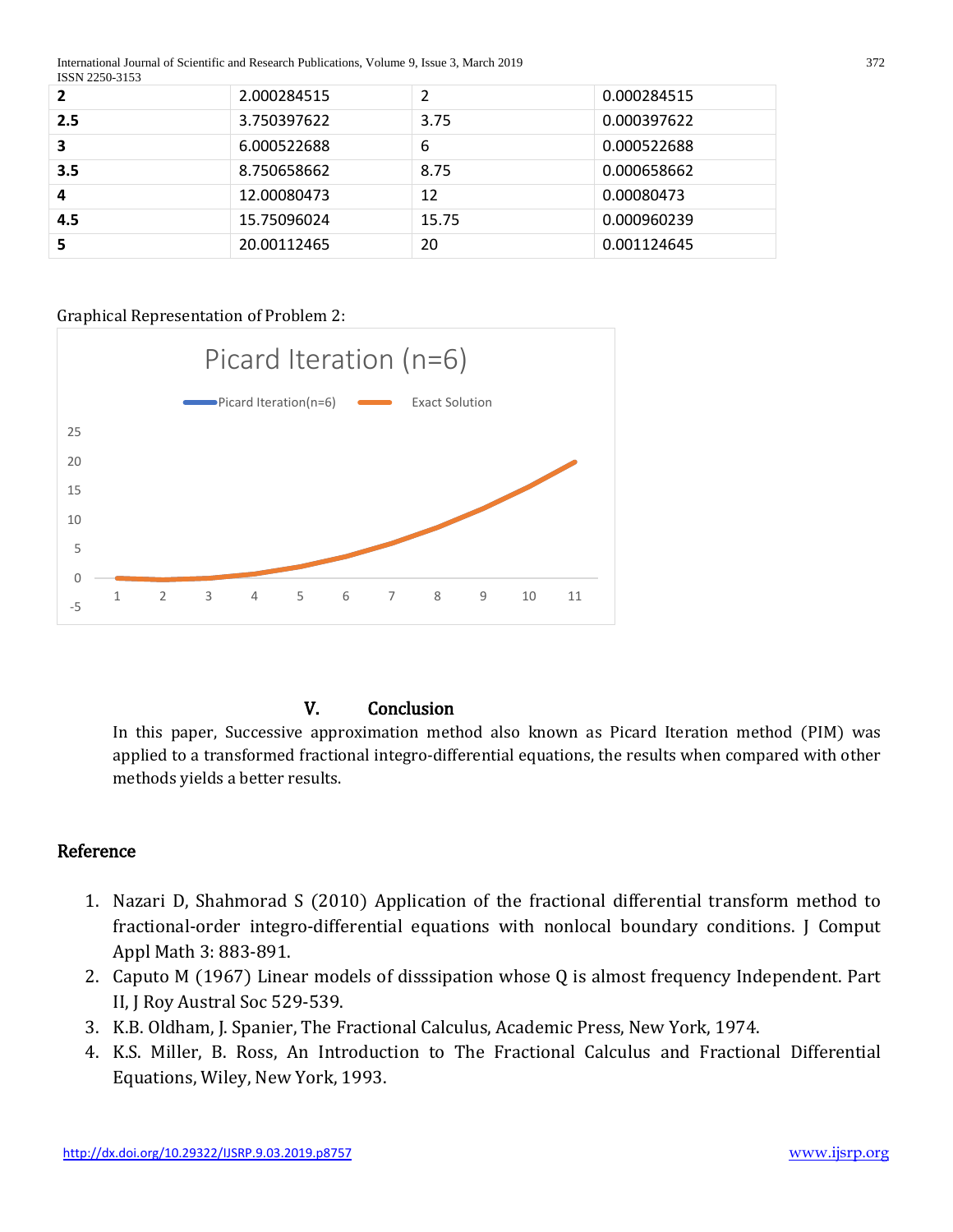International Journal of Scientific and Research Publications, Volume 9, Issue 3, March 2019 372 ISSN 2250-3153

| $\overline{2}$ | 2.000284515 | 2     | 0.000284515 |
|----------------|-------------|-------|-------------|
| 2.5            | 3.750397622 | 3.75  | 0.000397622 |
| 3              | 6.000522688 | 6     | 0.000522688 |
| 3.5            | 8.750658662 | 8.75  | 0.000658662 |
| 4              | 12.00080473 | 12    | 0.00080473  |
| 4.5            | 15.75096024 | 15.75 | 0.000960239 |
| 5              | 20.00112465 | 20    | 0.001124645 |

#### Graphical Representation of Problem 2:



# V. Conclusion

In this paper, Successive approximation method also known as Picard Iteration method (PIM) was applied to a transformed fractional integro-differential equations, the results when compared with other methods yields a better results.

# Reference

- 1. Nazari D, Shahmorad S (2010) Application of the fractional differential transform method to fractional-order integro-differential equations with nonlocal boundary conditions. J Comput Appl Math 3: 883-891.
- 2. Caputo M (1967) Linear models of disssipation whose Q is almost frequency Independent. Part II, J Roy Austral Soc 529-539.
- 3. K.B. Oldham, J. Spanier, The Fractional Calculus, Academic Press, New York, 1974.
- 4. K.S. Miller, B. Ross, An Introduction to The Fractional Calculus and Fractional Differential Equations, Wiley, New York, 1993.